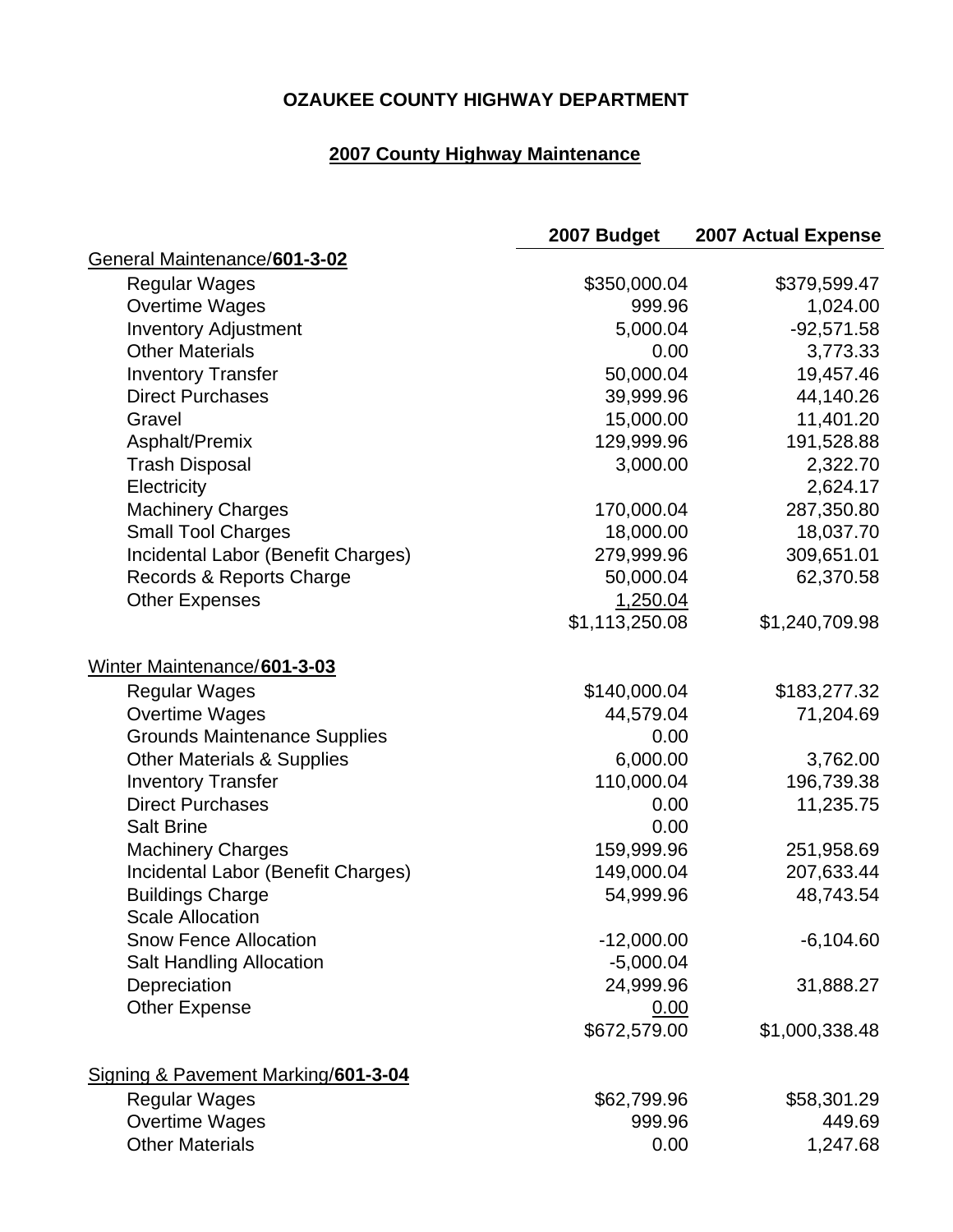## **OZAUKEE COUNTY HIGHWAY DEPARTMENT**

## **2007 County Highway Maintenance**

|                                       | 2007 Budget    | <b>2007 Actual Expense</b> |
|---------------------------------------|----------------|----------------------------|
| General Maintenance/601-3-02          |                |                            |
| <b>Regular Wages</b>                  | \$350,000.04   | \$379,599.47               |
| <b>Overtime Wages</b>                 | 999.96         | 1,024.00                   |
| <b>Inventory Adjustment</b>           | 5,000.04       | $-92,571.58$               |
| <b>Other Materials</b>                | 0.00           | 3,773.33                   |
| <b>Inventory Transfer</b>             | 50,000.04      | 19,457.46                  |
| <b>Direct Purchases</b>               | 39,999.96      | 44,140.26                  |
| Gravel                                | 15,000.00      | 11,401.20                  |
| Asphalt/Premix                        | 129,999.96     | 191,528.88                 |
| <b>Trash Disposal</b>                 | 3,000.00       | 2,322.70                   |
| Electricity                           |                | 2,624.17                   |
| <b>Machinery Charges</b>              | 170,000.04     | 287,350.80                 |
| <b>Small Tool Charges</b>             | 18,000.00      | 18,037.70                  |
| Incidental Labor (Benefit Charges)    | 279,999.96     | 309,651.01                 |
| Records & Reports Charge              | 50,000.04      | 62,370.58                  |
| <b>Other Expenses</b>                 | 1,250.04       |                            |
|                                       | \$1,113,250.08 | \$1,240,709.98             |
| Winter Maintenance/601-3-03           |                |                            |
| <b>Regular Wages</b>                  | \$140,000.04   | \$183,277.32               |
| <b>Overtime Wages</b>                 | 44,579.04      | 71,204.69                  |
| <b>Grounds Maintenance Supplies</b>   | 0.00           |                            |
| <b>Other Materials &amp; Supplies</b> | 6,000.00       | 3,762.00                   |
| <b>Inventory Transfer</b>             | 110,000.04     | 196,739.38                 |
| <b>Direct Purchases</b>               | 0.00           | 11,235.75                  |
| <b>Salt Brine</b>                     | 0.00           |                            |
| <b>Machinery Charges</b>              | 159,999.96     | 251,958.69                 |
| Incidental Labor (Benefit Charges)    | 149,000.04     | 207,633.44                 |
| <b>Buildings Charge</b>               | 54,999.96      | 48,743.54                  |
| <b>Scale Allocation</b>               |                |                            |
| <b>Snow Fence Allocation</b>          | $-12,000.00$   | $-6,104.60$                |
| <b>Salt Handling Allocation</b>       | $-5,000.04$    |                            |
| Depreciation                          | 24,999.96      | 31,888.27                  |
| <b>Other Expense</b>                  | 0.00           |                            |
|                                       | \$672,579.00   | \$1,000,338.48             |
| Signing & Pavement Marking/601-3-04   |                |                            |
| <b>Regular Wages</b>                  | \$62,799.96    | \$58,301.29                |
| <b>Overtime Wages</b>                 | 999.96         | 449.69                     |
| <b>Other Materials</b>                | 0.00           | 1,247.68                   |